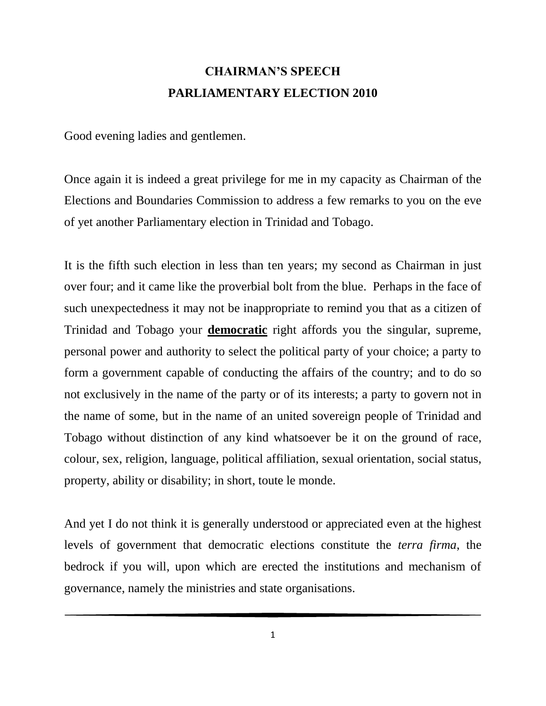## **CHAIRMAN'S SPEECH PARLIAMENTARY ELECTION 2010**

Good evening ladies and gentlemen.

Once again it is indeed a great privilege for me in my capacity as Chairman of the Elections and Boundaries Commission to address a few remarks to you on the eve of yet another Parliamentary election in Trinidad and Tobago.

It is the fifth such election in less than ten years; my second as Chairman in just over four; and it came like the proverbial bolt from the blue. Perhaps in the face of such unexpectedness it may not be inappropriate to remind you that as a citizen of Trinidad and Tobago your **democratic** right affords you the singular, supreme, personal power and authority to select the political party of your choice; a party to form a government capable of conducting the affairs of the country; and to do so not exclusively in the name of the party or of its interests; a party to govern not in the name of some, but in the name of an united sovereign people of Trinidad and Tobago without distinction of any kind whatsoever be it on the ground of race, colour, sex, religion, language, political affiliation, sexual orientation, social status, property, ability or disability; in short, toute le monde.

And yet I do not think it is generally understood or appreciated even at the highest levels of government that democratic elections constitute the *terra firma*, the bedrock if you will, upon which are erected the institutions and mechanism of governance, namely the ministries and state organisations.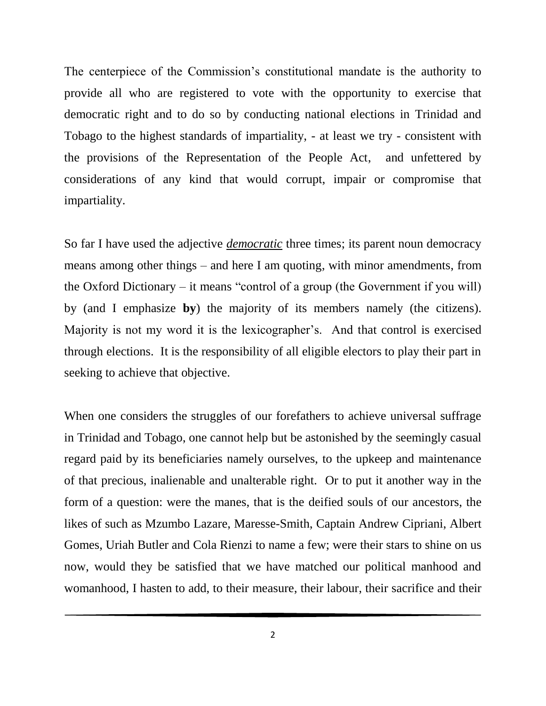The centerpiece of the Commission's constitutional mandate is the authority to provide all who are registered to vote with the opportunity to exercise that democratic right and to do so by conducting national elections in Trinidad and Tobago to the highest standards of impartiality, - at least we try - consistent with the provisions of the Representation of the People Act, and unfettered by considerations of any kind that would corrupt, impair or compromise that impartiality.

So far I have used the adjective *democratic* three times; its parent noun democracy means among other things – and here I am quoting, with minor amendments, from the Oxford Dictionary – it means "control of a group (the Government if you will) by (and I emphasize **by**) the majority of its members namely (the citizens). Majority is not my word it is the lexicographer's. And that control is exercised through elections. It is the responsibility of all eligible electors to play their part in seeking to achieve that objective.

When one considers the struggles of our forefathers to achieve universal suffrage in Trinidad and Tobago, one cannot help but be astonished by the seemingly casual regard paid by its beneficiaries namely ourselves, to the upkeep and maintenance of that precious, inalienable and unalterable right. Or to put it another way in the form of a question: were the manes, that is the deified souls of our ancestors, the likes of such as Mzumbo Lazare, Maresse-Smith, Captain Andrew Cipriani, Albert Gomes, Uriah Butler and Cola Rienzi to name a few; were their stars to shine on us now, would they be satisfied that we have matched our political manhood and womanhood, I hasten to add, to their measure, their labour, their sacrifice and their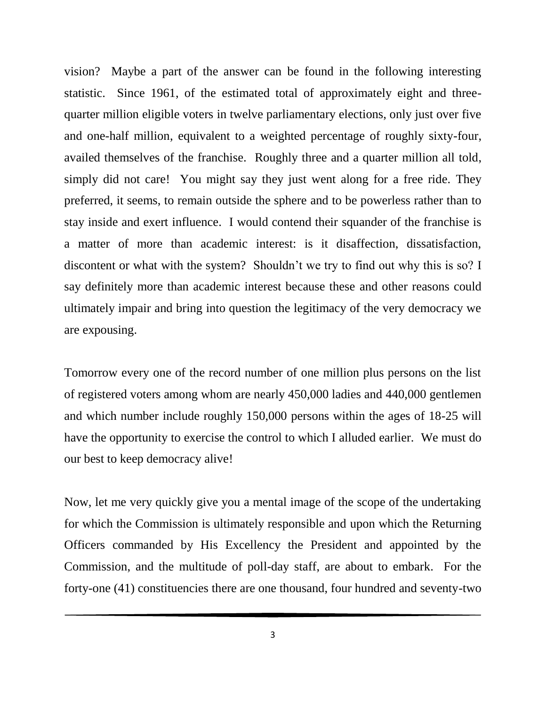vision? Maybe a part of the answer can be found in the following interesting statistic. Since 1961, of the estimated total of approximately eight and threequarter million eligible voters in twelve parliamentary elections, only just over five and one-half million, equivalent to a weighted percentage of roughly sixty-four, availed themselves of the franchise. Roughly three and a quarter million all told, simply did not care! You might say they just went along for a free ride. They preferred, it seems, to remain outside the sphere and to be powerless rather than to stay inside and exert influence. I would contend their squander of the franchise is a matter of more than academic interest: is it disaffection, dissatisfaction, discontent or what with the system? Shouldn't we try to find out why this is so? I say definitely more than academic interest because these and other reasons could ultimately impair and bring into question the legitimacy of the very democracy we are expousing.

Tomorrow every one of the record number of one million plus persons on the list of registered voters among whom are nearly 450,000 ladies and 440,000 gentlemen and which number include roughly 150,000 persons within the ages of 18-25 will have the opportunity to exercise the control to which I alluded earlier. We must do our best to keep democracy alive!

Now, let me very quickly give you a mental image of the scope of the undertaking for which the Commission is ultimately responsible and upon which the Returning Officers commanded by His Excellency the President and appointed by the Commission, and the multitude of poll-day staff, are about to embark. For the forty-one (41) constituencies there are one thousand, four hundred and seventy-two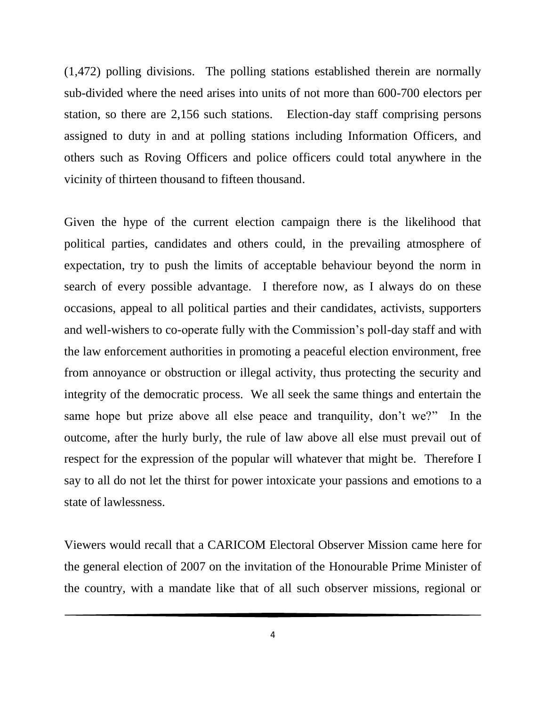(1,472) polling divisions. The polling stations established therein are normally sub-divided where the need arises into units of not more than 600-700 electors per station, so there are 2,156 such stations. Election-day staff comprising persons assigned to duty in and at polling stations including Information Officers, and others such as Roving Officers and police officers could total anywhere in the vicinity of thirteen thousand to fifteen thousand.

Given the hype of the current election campaign there is the likelihood that political parties, candidates and others could, in the prevailing atmosphere of expectation, try to push the limits of acceptable behaviour beyond the norm in search of every possible advantage. I therefore now, as I always do on these occasions, appeal to all political parties and their candidates, activists, supporters and well-wishers to co-operate fully with the Commission's poll-day staff and with the law enforcement authorities in promoting a peaceful election environment, free from annoyance or obstruction or illegal activity, thus protecting the security and integrity of the democratic process. We all seek the same things and entertain the same hope but prize above all else peace and tranquility, don't we?" In the outcome, after the hurly burly, the rule of law above all else must prevail out of respect for the expression of the popular will whatever that might be. Therefore I say to all do not let the thirst for power intoxicate your passions and emotions to a state of lawlessness.

Viewers would recall that a CARICOM Electoral Observer Mission came here for the general election of 2007 on the invitation of the Honourable Prime Minister of the country, with a mandate like that of all such observer missions, regional or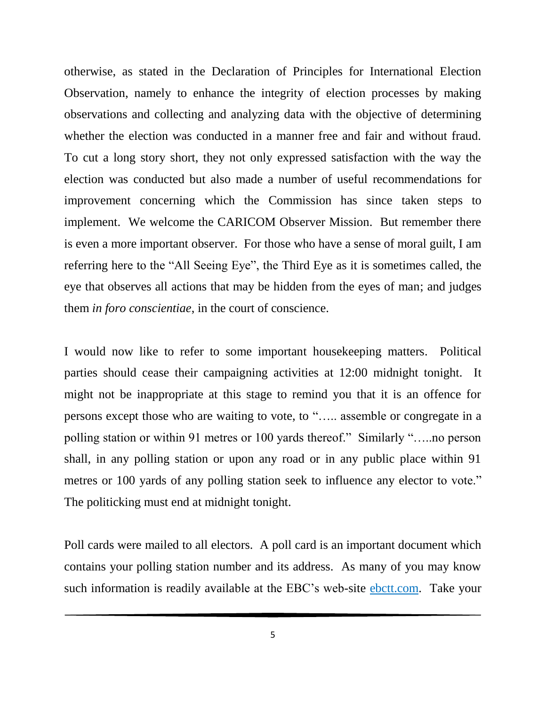otherwise, as stated in the Declaration of Principles for International Election Observation, namely to enhance the integrity of election processes by making observations and collecting and analyzing data with the objective of determining whether the election was conducted in a manner free and fair and without fraud. To cut a long story short, they not only expressed satisfaction with the way the election was conducted but also made a number of useful recommendations for improvement concerning which the Commission has since taken steps to implement. We welcome the CARICOM Observer Mission. But remember there is even a more important observer. For those who have a sense of moral guilt, I am referring here to the "All Seeing Eye", the Third Eye as it is sometimes called, the eye that observes all actions that may be hidden from the eyes of man; and judges them *in foro conscientiae*, in the court of conscience.

I would now like to refer to some important housekeeping matters. Political parties should cease their campaigning activities at 12:00 midnight tonight. It might not be inappropriate at this stage to remind you that it is an offence for persons except those who are waiting to vote, to "….. assemble or congregate in a polling station or within 91 metres or 100 yards thereof." Similarly "…..no person shall, in any polling station or upon any road or in any public place within 91 metres or 100 yards of any polling station seek to influence any elector to vote." The politicking must end at midnight tonight.

Poll cards were mailed to all electors. A poll card is an important document which contains your polling station number and its address. As many of you may know such information is readily available at the EBC's web-site ebctt.com. Take your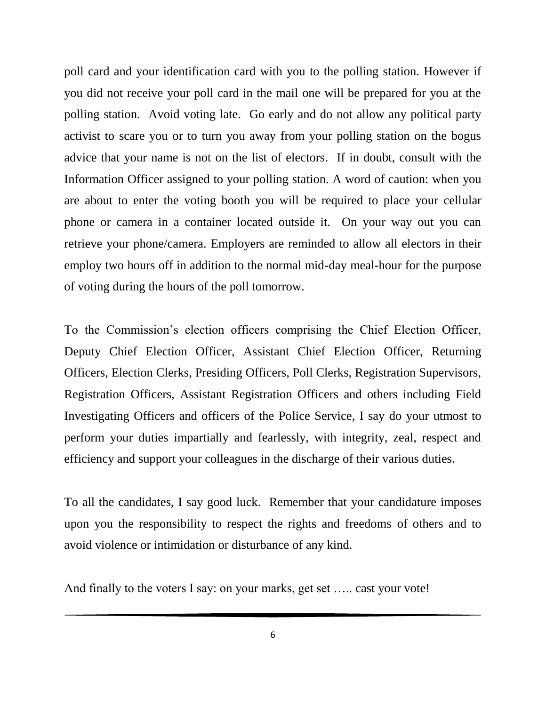poll card and your identification card with you to the polling station. However if you did not receive your poll card in the mail one will be prepared for you at the polling station. Avoid voting late. Go early and do not allow any political party activist to scare you or to turn you away from your polling station on the bogus advice that your name is not on the list of electors. If in doubt, consult with the Information Officer assigned to your polling station. A word of caution: when you are about to enter the voting booth you will be required to place your cellular phone or camera in a container located outside it. On your way out you can retrieve your phone/camera. Employers are reminded to allow all electors in their employ two hours off in addition to the normal mid-day meal-hour for the purpose of voting during the hours of the poll tomorrow.

To the Commission's election officers comprising the Chief Election Officer, Deputy Chief Election Officer, Assistant Chief Election Officer, Returning Officers, Election Clerks, Presiding Officers, Poll Clerks, Registration Supervisors, Registration Officers, Assistant Registration Officers and others including Field Investigating Officers and officers of the Police Service, I say do your utmost to perform your duties impartially and fearlessly, with integrity, zeal, respect and efficiency and support your colleagues in the discharge of their various duties.

To all the candidates, I say good luck. Remember that your candidature imposes upon you the responsibility to respect the rights and freedoms of others and to avoid violence or intimidation or disturbance of any kind.

And finally to the voters I say: on your marks, get set ..... cast your vote!